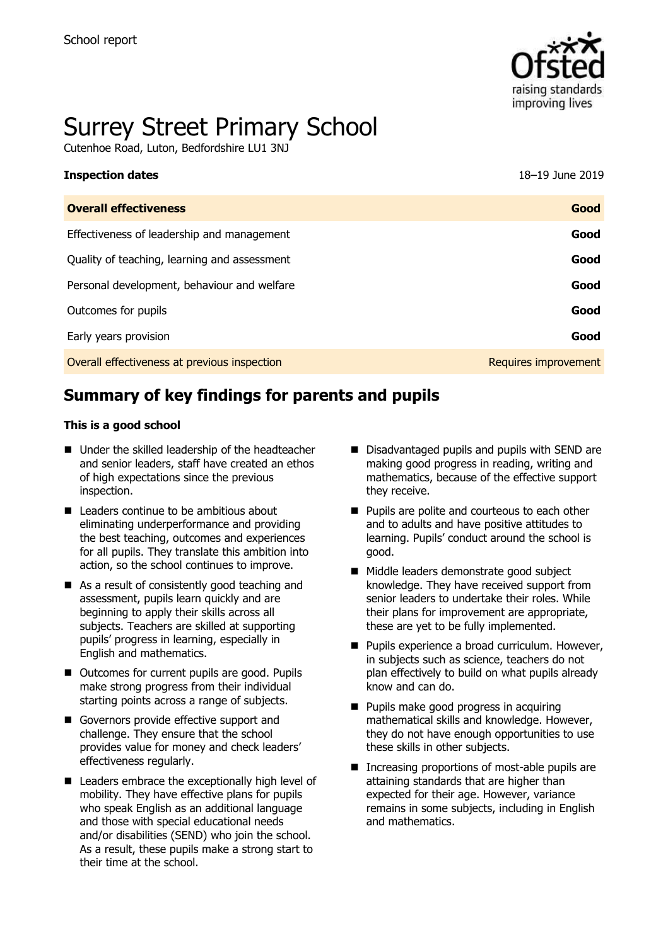

# Surrey Street Primary School

Cutenhoe Road, Luton, Bedfordshire LU1 3NJ

| <b>Inspection dates</b>                      | 18-19 June 2019      |
|----------------------------------------------|----------------------|
| <b>Overall effectiveness</b>                 | Good                 |
| Effectiveness of leadership and management   | Good                 |
| Quality of teaching, learning and assessment | Good                 |
| Personal development, behaviour and welfare  | Good                 |
| Outcomes for pupils                          | Good                 |
| Early years provision                        | Good                 |
| Overall effectiveness at previous inspection | Requires improvement |
|                                              |                      |

## **Summary of key findings for parents and pupils**

#### **This is a good school**

- Under the skilled leadership of the headteacher and senior leaders, staff have created an ethos of high expectations since the previous inspection.
- **E** Leaders continue to be ambitious about eliminating underperformance and providing the best teaching, outcomes and experiences for all pupils. They translate this ambition into action, so the school continues to improve.
- As a result of consistently good teaching and assessment, pupils learn quickly and are beginning to apply their skills across all subjects. Teachers are skilled at supporting pupils' progress in learning, especially in English and mathematics.
- Outcomes for current pupils are good. Pupils make strong progress from their individual starting points across a range of subjects.
- Governors provide effective support and challenge. They ensure that the school provides value for money and check leaders' effectiveness regularly.
- Leaders embrace the exceptionally high level of mobility. They have effective plans for pupils who speak English as an additional language and those with special educational needs and/or disabilities (SEND) who join the school. As a result, these pupils make a strong start to their time at the school.
- Disadvantaged pupils and pupils with SEND are making good progress in reading, writing and mathematics, because of the effective support they receive.
- **Pupils are polite and courteous to each other** and to adults and have positive attitudes to learning. Pupils' conduct around the school is good.
- Middle leaders demonstrate good subject knowledge. They have received support from senior leaders to undertake their roles. While their plans for improvement are appropriate, these are yet to be fully implemented.
- **Pupils experience a broad curriculum. However,** in subjects such as science, teachers do not plan effectively to build on what pupils already know and can do.
- **Pupils make good progress in acquiring** mathematical skills and knowledge. However, they do not have enough opportunities to use these skills in other subjects.
- Increasing proportions of most-able pupils are attaining standards that are higher than expected for their age. However, variance remains in some subjects, including in English and mathematics.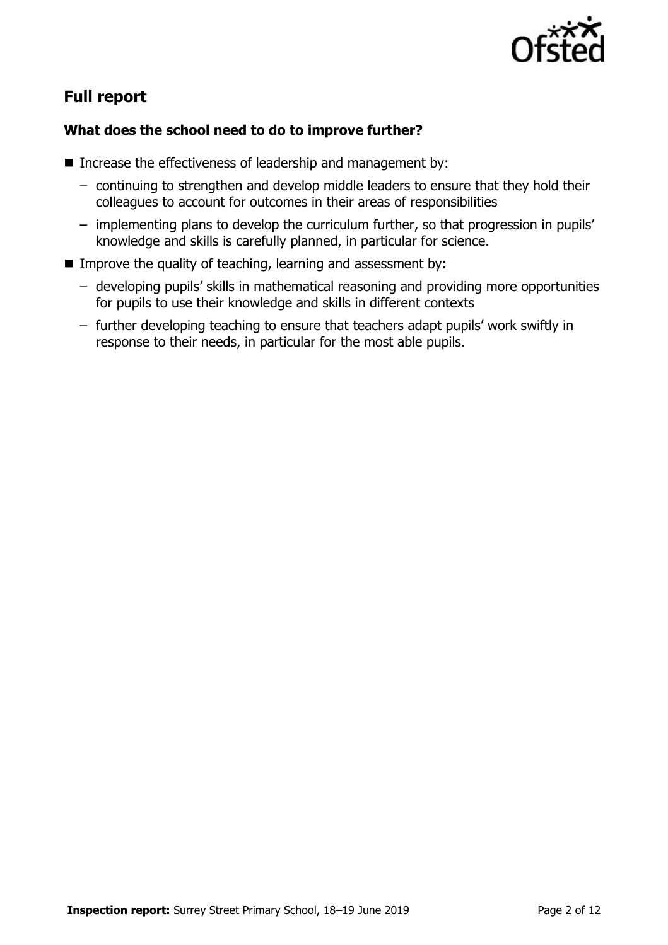

## **Full report**

### **What does the school need to do to improve further?**

- Increase the effectiveness of leadership and management by:
	- continuing to strengthen and develop middle leaders to ensure that they hold their colleagues to account for outcomes in their areas of responsibilities
	- implementing plans to develop the curriculum further, so that progression in pupils' knowledge and skills is carefully planned, in particular for science.
- Improve the quality of teaching, learning and assessment by:
	- developing pupils' skills in mathematical reasoning and providing more opportunities for pupils to use their knowledge and skills in different contexts
	- further developing teaching to ensure that teachers adapt pupils' work swiftly in response to their needs, in particular for the most able pupils.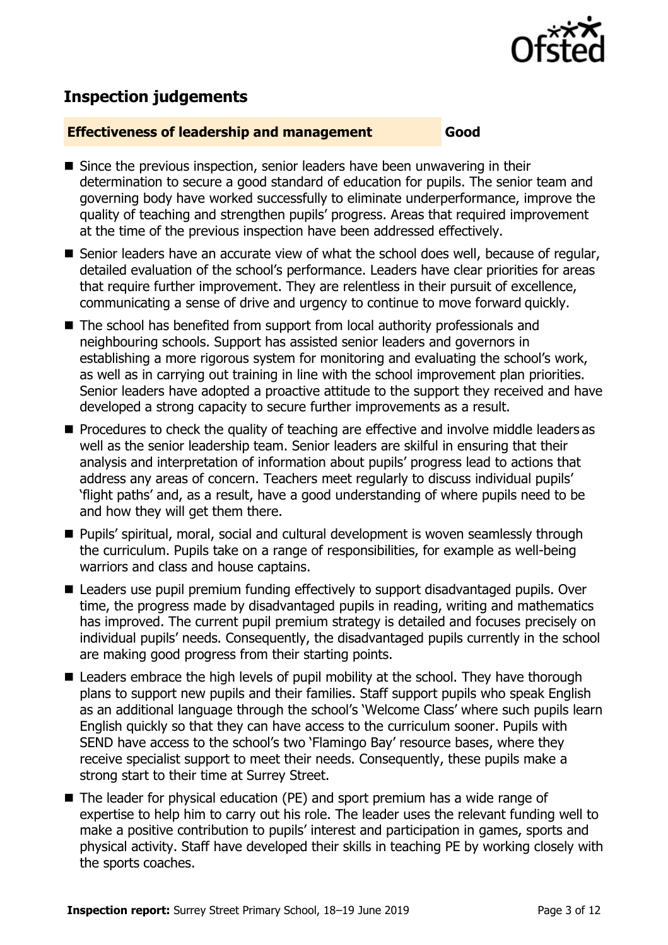

## **Inspection judgements**

#### **Effectiveness of leadership and management Good**

- Since the previous inspection, senior leaders have been unwavering in their determination to secure a good standard of education for pupils. The senior team and governing body have worked successfully to eliminate underperformance, improve the quality of teaching and strengthen pupils' progress. Areas that required improvement at the time of the previous inspection have been addressed effectively.
- Senior leaders have an accurate view of what the school does well, because of regular, detailed evaluation of the school's performance. Leaders have clear priorities for areas that require further improvement. They are relentless in their pursuit of excellence, communicating a sense of drive and urgency to continue to move forward quickly.
- The school has benefited from support from local authority professionals and neighbouring schools. Support has assisted senior leaders and governors in establishing a more rigorous system for monitoring and evaluating the school's work, as well as in carrying out training in line with the school improvement plan priorities. Senior leaders have adopted a proactive attitude to the support they received and have developed a strong capacity to secure further improvements as a result.
- **Procedures to check the quality of teaching are effective and involve middle leaders as** well as the senior leadership team. Senior leaders are skilful in ensuring that their analysis and interpretation of information about pupils' progress lead to actions that address any areas of concern. Teachers meet regularly to discuss individual pupils' 'flight paths' and, as a result, have a good understanding of where pupils need to be and how they will get them there.
- **Pupils' spiritual, moral, social and cultural development is woven seamlessly through** the curriculum. Pupils take on a range of responsibilities, for example as well-being warriors and class and house captains.
- Leaders use pupil premium funding effectively to support disadvantaged pupils. Over time, the progress made by disadvantaged pupils in reading, writing and mathematics has improved. The current pupil premium strategy is detailed and focuses precisely on individual pupils' needs. Consequently, the disadvantaged pupils currently in the school are making good progress from their starting points.
- Leaders embrace the high levels of pupil mobility at the school. They have thorough plans to support new pupils and their families. Staff support pupils who speak English as an additional language through the school's 'Welcome Class' where such pupils learn English quickly so that they can have access to the curriculum sooner. Pupils with SEND have access to the school's two 'Flamingo Bay' resource bases, where they receive specialist support to meet their needs. Consequently, these pupils make a strong start to their time at Surrey Street.
- The leader for physical education (PE) and sport premium has a wide range of expertise to help him to carry out his role. The leader uses the relevant funding well to make a positive contribution to pupils' interest and participation in games, sports and physical activity. Staff have developed their skills in teaching PE by working closely with the sports coaches.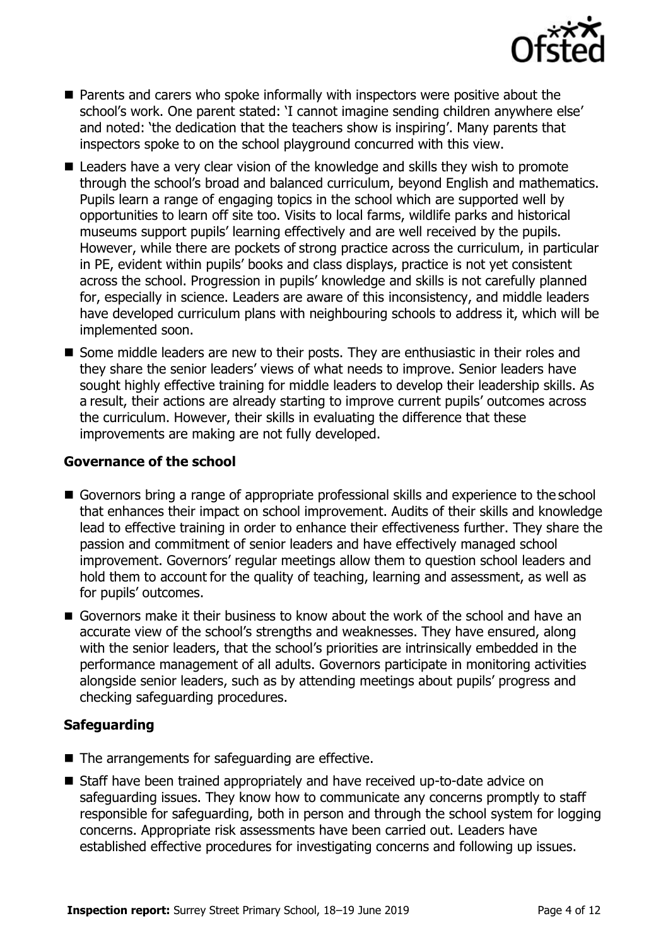

- Parents and carers who spoke informally with inspectors were positive about the school's work. One parent stated: 'I cannot imagine sending children anywhere else' and noted: 'the dedication that the teachers show is inspiring'. Many parents that inspectors spoke to on the school playground concurred with this view.
- Leaders have a very clear vision of the knowledge and skills they wish to promote through the school's broad and balanced curriculum, beyond English and mathematics. Pupils learn a range of engaging topics in the school which are supported well by opportunities to learn off site too. Visits to local farms, wildlife parks and historical museums support pupils' learning effectively and are well received by the pupils. However, while there are pockets of strong practice across the curriculum, in particular in PE, evident within pupils' books and class displays, practice is not yet consistent across the school. Progression in pupils' knowledge and skills is not carefully planned for, especially in science. Leaders are aware of this inconsistency, and middle leaders have developed curriculum plans with neighbouring schools to address it, which will be implemented soon.
- Some middle leaders are new to their posts. They are enthusiastic in their roles and they share the senior leaders' views of what needs to improve. Senior leaders have sought highly effective training for middle leaders to develop their leadership skills. As a result, their actions are already starting to improve current pupils' outcomes across the curriculum. However, their skills in evaluating the difference that these improvements are making are not fully developed.

#### **Governance of the school**

- Governors bring a range of appropriate professional skills and experience to the school that enhances their impact on school improvement. Audits of their skills and knowledge lead to effective training in order to enhance their effectiveness further. They share the passion and commitment of senior leaders and have effectively managed school improvement. Governors' regular meetings allow them to question school leaders and hold them to account for the quality of teaching, learning and assessment, as well as for pupils' outcomes.
- Governors make it their business to know about the work of the school and have an accurate view of the school's strengths and weaknesses. They have ensured, along with the senior leaders, that the school's priorities are intrinsically embedded in the performance management of all adults. Governors participate in monitoring activities alongside senior leaders, such as by attending meetings about pupils' progress and checking safeguarding procedures.

#### **Safeguarding**

- $\blacksquare$  The arrangements for safeguarding are effective.
- Staff have been trained appropriately and have received up-to-date advice on safeguarding issues. They know how to communicate any concerns promptly to staff responsible for safeguarding, both in person and through the school system for logging concerns. Appropriate risk assessments have been carried out. Leaders have established effective procedures for investigating concerns and following up issues.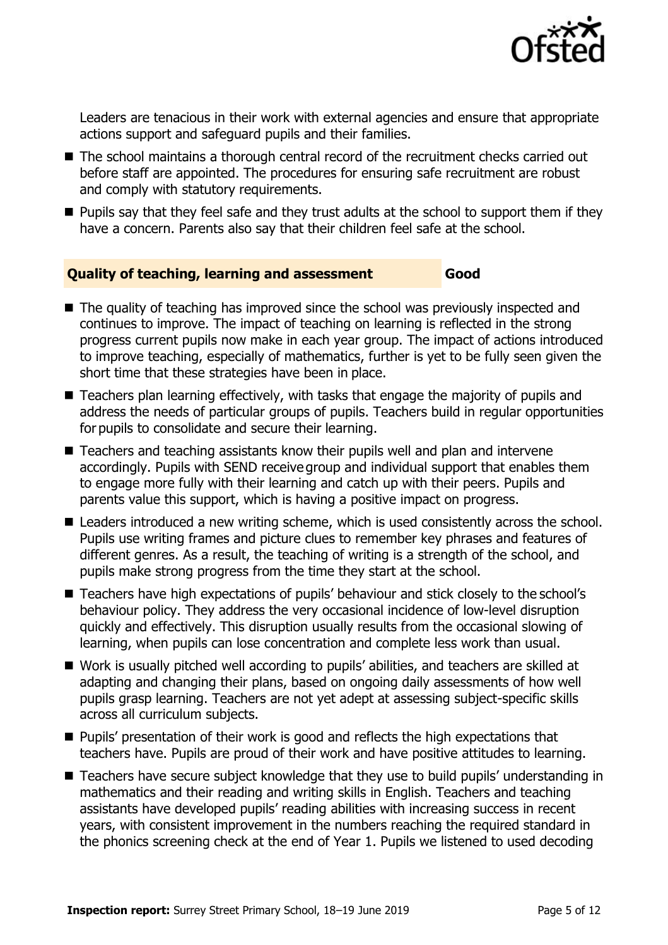

Leaders are tenacious in their work with external agencies and ensure that appropriate actions support and safeguard pupils and their families.

- The school maintains a thorough central record of the recruitment checks carried out before staff are appointed. The procedures for ensuring safe recruitment are robust and comply with statutory requirements.
- $\blacksquare$  Pupils say that they feel safe and they trust adults at the school to support them if they have a concern. Parents also say that their children feel safe at the school.

#### **Quality of teaching, learning and assessment Good**

- The quality of teaching has improved since the school was previously inspected and continues to improve. The impact of teaching on learning is reflected in the strong progress current pupils now make in each year group. The impact of actions introduced to improve teaching, especially of mathematics, further is yet to be fully seen given the short time that these strategies have been in place.
- Teachers plan learning effectively, with tasks that engage the majority of pupils and address the needs of particular groups of pupils. Teachers build in regular opportunities for pupils to consolidate and secure their learning.
- Teachers and teaching assistants know their pupils well and plan and intervene accordingly. Pupils with SEND receive group and individual support that enables them to engage more fully with their learning and catch up with their peers. Pupils and parents value this support, which is having a positive impact on progress.
- Leaders introduced a new writing scheme, which is used consistently across the school. Pupils use writing frames and picture clues to remember key phrases and features of different genres. As a result, the teaching of writing is a strength of the school, and pupils make strong progress from the time they start at the school.
- Teachers have high expectations of pupils' behaviour and stick closely to the school's behaviour policy. They address the very occasional incidence of low-level disruption quickly and effectively. This disruption usually results from the occasional slowing of learning, when pupils can lose concentration and complete less work than usual.
- Work is usually pitched well according to pupils' abilities, and teachers are skilled at adapting and changing their plans, based on ongoing daily assessments of how well pupils grasp learning. Teachers are not yet adept at assessing subject-specific skills across all curriculum subjects.
- **Pupils'** presentation of their work is good and reflects the high expectations that teachers have. Pupils are proud of their work and have positive attitudes to learning.
- Teachers have secure subject knowledge that they use to build pupils' understanding in mathematics and their reading and writing skills in English. Teachers and teaching assistants have developed pupils' reading abilities with increasing success in recent years, with consistent improvement in the numbers reaching the required standard in the phonics screening check at the end of Year 1. Pupils we listened to used decoding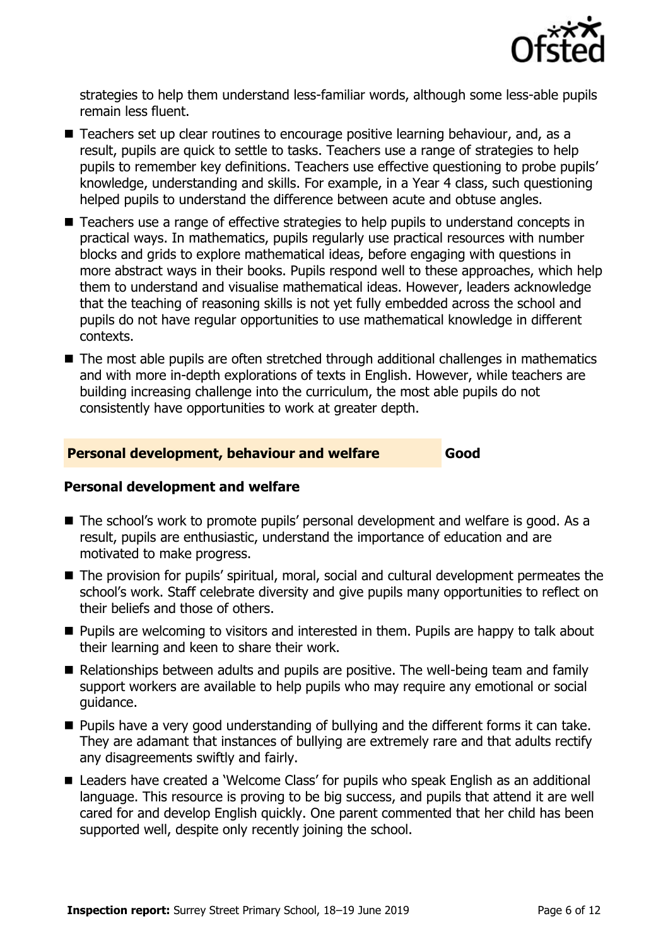

strategies to help them understand less-familiar words, although some less-able pupils remain less fluent.

- Teachers set up clear routines to encourage positive learning behaviour, and, as a result, pupils are quick to settle to tasks. Teachers use a range of strategies to help pupils to remember key definitions. Teachers use effective questioning to probe pupils' knowledge, understanding and skills. For example, in a Year 4 class, such questioning helped pupils to understand the difference between acute and obtuse angles.
- Teachers use a range of effective strategies to help pupils to understand concepts in practical ways. In mathematics, pupils regularly use practical resources with number blocks and grids to explore mathematical ideas, before engaging with questions in more abstract ways in their books. Pupils respond well to these approaches, which help them to understand and visualise mathematical ideas. However, leaders acknowledge that the teaching of reasoning skills is not yet fully embedded across the school and pupils do not have regular opportunities to use mathematical knowledge in different contexts.
- The most able pupils are often stretched through additional challenges in mathematics and with more in-depth explorations of texts in English. However, while teachers are building increasing challenge into the curriculum, the most able pupils do not consistently have opportunities to work at greater depth.

#### **Personal development, behaviour and welfare Good**

#### **Personal development and welfare**

- The school's work to promote pupils' personal development and welfare is good. As a result, pupils are enthusiastic, understand the importance of education and are motivated to make progress.
- The provision for pupils' spiritual, moral, social and cultural development permeates the school's work. Staff celebrate diversity and give pupils many opportunities to reflect on their beliefs and those of others.
- **Pupils are welcoming to visitors and interested in them. Pupils are happy to talk about** their learning and keen to share their work.
- Relationships between adults and pupils are positive. The well-being team and family support workers are available to help pupils who may require any emotional or social guidance.
- **Pupils have a very good understanding of bullying and the different forms it can take.** They are adamant that instances of bullying are extremely rare and that adults rectify any disagreements swiftly and fairly.
- Leaders have created a 'Welcome Class' for pupils who speak English as an additional language. This resource is proving to be big success, and pupils that attend it are well cared for and develop English quickly. One parent commented that her child has been supported well, despite only recently joining the school.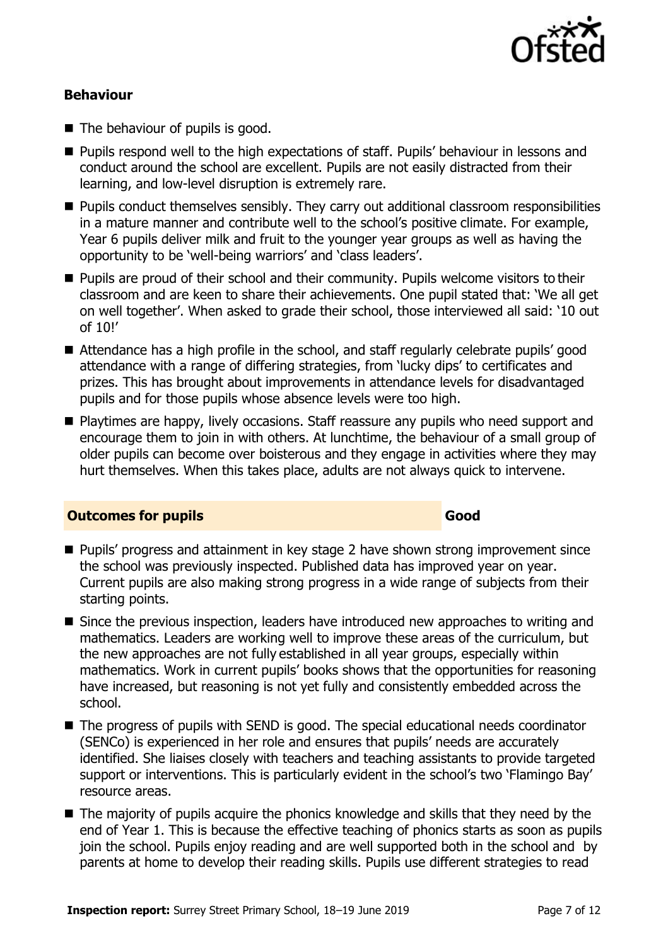

#### **Behaviour**

- The behaviour of pupils is good.
- **Pupils respond well to the high expectations of staff. Pupils' behaviour in lessons and** conduct around the school are excellent. Pupils are not easily distracted from their learning, and low-level disruption is extremely rare.
- **Pupils conduct themselves sensibly. They carry out additional classroom responsibilities** in a mature manner and contribute well to the school's positive climate. For example, Year 6 pupils deliver milk and fruit to the younger year groups as well as having the opportunity to be 'well-being warriors' and 'class leaders'.
- **Pupils are proud of their school and their community. Pupils welcome visitors to their** classroom and are keen to share their achievements. One pupil stated that: 'We all get on well together'. When asked to grade their school, those interviewed all said: '10 out of 10!'
- Attendance has a high profile in the school, and staff regularly celebrate pupils' good attendance with a range of differing strategies, from 'lucky dips' to certificates and prizes. This has brought about improvements in attendance levels for disadvantaged pupils and for those pupils whose absence levels were too high.
- **Playtimes are happy, lively occasions. Staff reassure any pupils who need support and** encourage them to join in with others. At lunchtime, the behaviour of a small group of older pupils can become over boisterous and they engage in activities where they may hurt themselves. When this takes place, adults are not always quick to intervene.

#### **Outcomes for pupils Good**

## ■ Pupils' progress and attainment in key stage 2 have shown strong improvement since the school was previously inspected. Published data has improved year on year. Current pupils are also making strong progress in a wide range of subjects from their starting points.

- Since the previous inspection, leaders have introduced new approaches to writing and mathematics. Leaders are working well to improve these areas of the curriculum, but the new approaches are not fully established in all year groups, especially within mathematics. Work in current pupils' books shows that the opportunities for reasoning have increased, but reasoning is not yet fully and consistently embedded across the school.
- The progress of pupils with SEND is good. The special educational needs coordinator (SENCo) is experienced in her role and ensures that pupils' needs are accurately identified. She liaises closely with teachers and teaching assistants to provide targeted support or interventions. This is particularly evident in the school's two 'Flamingo Bay' resource areas.
- The majority of pupils acquire the phonics knowledge and skills that they need by the end of Year 1. This is because the effective teaching of phonics starts as soon as pupils join the school. Pupils enjoy reading and are well supported both in the school and by parents at home to develop their reading skills. Pupils use different strategies to read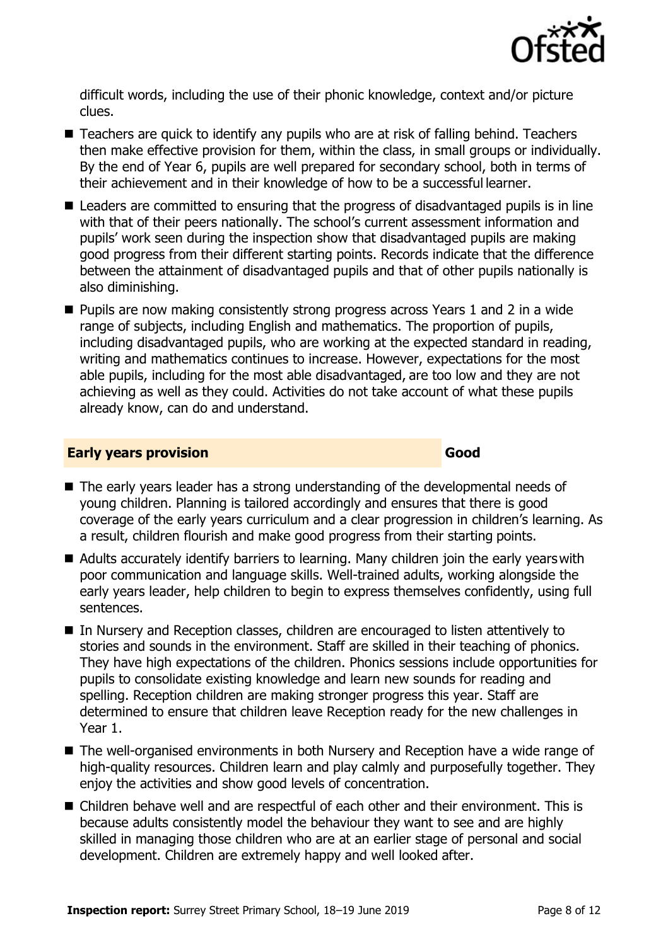

difficult words, including the use of their phonic knowledge, context and/or picture clues.

- Teachers are quick to identify any pupils who are at risk of falling behind. Teachers then make effective provision for them, within the class, in small groups or individually. By the end of Year 6, pupils are well prepared for secondary school, both in terms of their achievement and in their knowledge of how to be a successful learner.
- Leaders are committed to ensuring that the progress of disadvantaged pupils is in line with that of their peers nationally. The school's current assessment information and pupils' work seen during the inspection show that disadvantaged pupils are making good progress from their different starting points. Records indicate that the difference between the attainment of disadvantaged pupils and that of other pupils nationally is also diminishing.
- **Pupils are now making consistently strong progress across Years 1 and 2 in a wide** range of subjects, including English and mathematics. The proportion of pupils, including disadvantaged pupils, who are working at the expected standard in reading, writing and mathematics continues to increase. However, expectations for the most able pupils, including for the most able disadvantaged, are too low and they are not achieving as well as they could. Activities do not take account of what these pupils already know, can do and understand.

#### **Early years provision Good Good**

- The early years leader has a strong understanding of the developmental needs of young children. Planning is tailored accordingly and ensures that there is good coverage of the early years curriculum and a clear progression in children's learning. As a result, children flourish and make good progress from their starting points.
- Adults accurately identify barriers to learning. Many children join the early years with poor communication and language skills. Well-trained adults, working alongside the early years leader, help children to begin to express themselves confidently, using full sentences.
- In Nursery and Reception classes, children are encouraged to listen attentively to stories and sounds in the environment. Staff are skilled in their teaching of phonics. They have high expectations of the children. Phonics sessions include opportunities for pupils to consolidate existing knowledge and learn new sounds for reading and spelling. Reception children are making stronger progress this year. Staff are determined to ensure that children leave Reception ready for the new challenges in Year 1.
- The well-organised environments in both Nursery and Reception have a wide range of high-quality resources. Children learn and play calmly and purposefully together. They enjoy the activities and show good levels of concentration.
- Children behave well and are respectful of each other and their environment. This is because adults consistently model the behaviour they want to see and are highly skilled in managing those children who are at an earlier stage of personal and social development. Children are extremely happy and well looked after.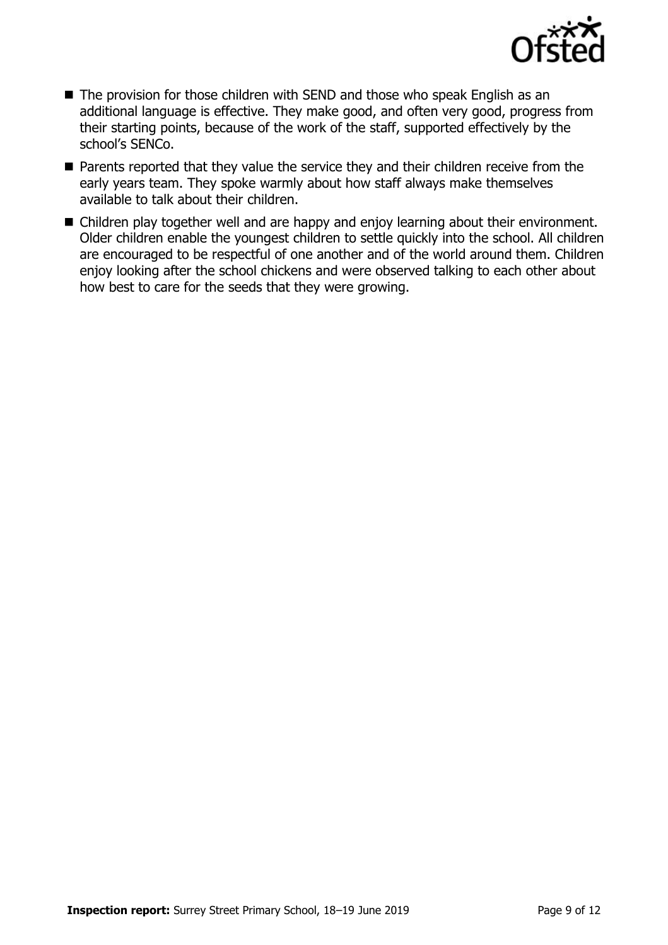

- The provision for those children with SEND and those who speak English as an additional language is effective. They make good, and often very good, progress from their starting points, because of the work of the staff, supported effectively by the school's SENCo.
- **Parents reported that they value the service they and their children receive from the** early years team. They spoke warmly about how staff always make themselves available to talk about their children.
- Children play together well and are happy and enjoy learning about their environment. Older children enable the youngest children to settle quickly into the school. All children are encouraged to be respectful of one another and of the world around them. Children enjoy looking after the school chickens and were observed talking to each other about how best to care for the seeds that they were growing.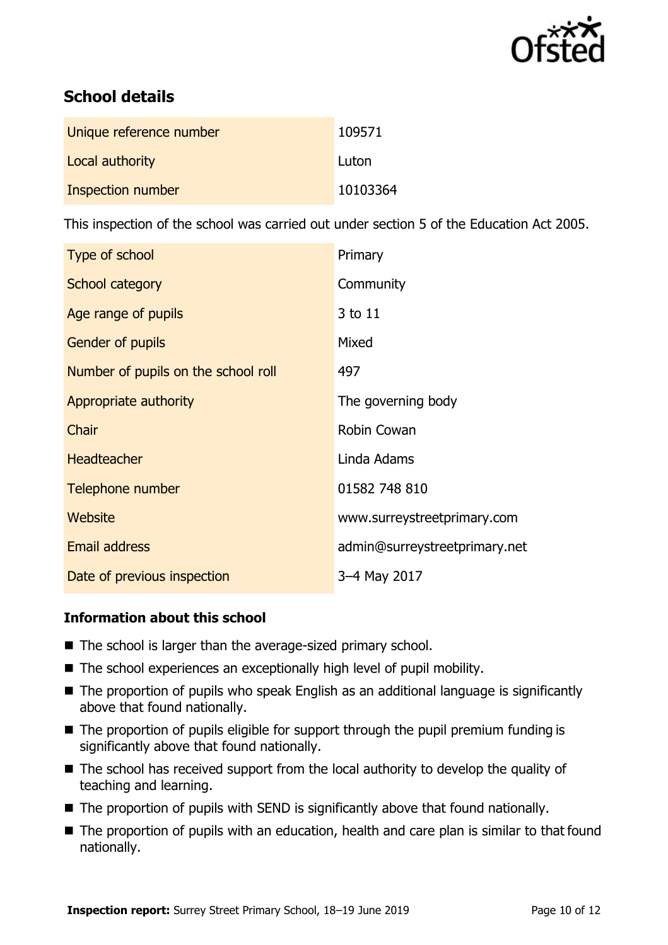

## **School details**

| Unique reference number | 109571   |
|-------------------------|----------|
| Local authority         | Luton    |
| Inspection number       | 10103364 |

This inspection of the school was carried out under section 5 of the Education Act 2005.

| Type of school                      | Primary                       |
|-------------------------------------|-------------------------------|
| School category                     | Community                     |
| Age range of pupils                 | 3 to 11                       |
| Gender of pupils                    | Mixed                         |
| Number of pupils on the school roll | 497                           |
| Appropriate authority               | The governing body            |
| Chair                               | Robin Cowan                   |
| <b>Headteacher</b>                  | Linda Adams                   |
| Telephone number                    | 01582 748 810                 |
| Website                             | www.surreystreetprimary.com   |
| <b>Email address</b>                | admin@surreystreetprimary.net |
| Date of previous inspection         | 3-4 May 2017                  |

#### **Information about this school**

- The school is larger than the average-sized primary school.
- The school experiences an exceptionally high level of pupil mobility.
- The proportion of pupils who speak English as an additional language is significantly above that found nationally.
- $\blacksquare$  The proportion of pupils eligible for support through the pupil premium funding is significantly above that found nationally.
- The school has received support from the local authority to develop the quality of teaching and learning.
- $\blacksquare$  The proportion of pupils with SEND is significantly above that found nationally.
- The proportion of pupils with an education, health and care plan is similar to that found nationally.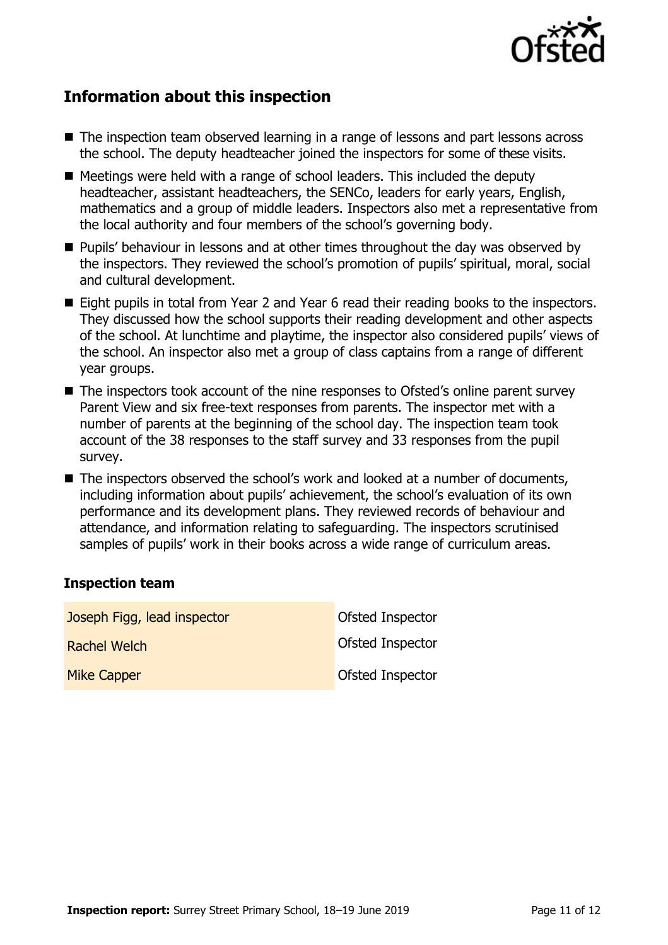

## **Information about this inspection**

- The inspection team observed learning in a range of lessons and part lessons across the school. The deputy headteacher joined the inspectors for some of these visits.
- Meetings were held with a range of school leaders. This included the deputy headteacher, assistant headteachers, the SENCo, leaders for early years, English, mathematics and a group of middle leaders. Inspectors also met a representative from the local authority and four members of the school's governing body.
- **Pupils' behaviour in lessons and at other times throughout the day was observed by** the inspectors. They reviewed the school's promotion of pupils' spiritual, moral, social and cultural development.
- Eight pupils in total from Year 2 and Year 6 read their reading books to the inspectors. They discussed how the school supports their reading development and other aspects of the school. At lunchtime and playtime, the inspector also considered pupils' views of the school. An inspector also met a group of class captains from a range of different year groups.
- The inspectors took account of the nine responses to Ofsted's online parent survey Parent View and six free-text responses from parents. The inspector met with a number of parents at the beginning of the school day. The inspection team took account of the 38 responses to the staff survey and 33 responses from the pupil survey.
- The inspectors observed the school's work and looked at a number of documents, including information about pupils' achievement, the school's evaluation of its own performance and its development plans. They reviewed records of behaviour and attendance, and information relating to safeguarding. The inspectors scrutinised samples of pupils' work in their books across a wide range of curriculum areas.

#### **Inspection team**

| Joseph Figg, lead inspector | Ofsted Inspector |
|-----------------------------|------------------|
| Rachel Welch                | Ofsted Inspector |
| <b>Mike Capper</b>          | Ofsted Inspector |